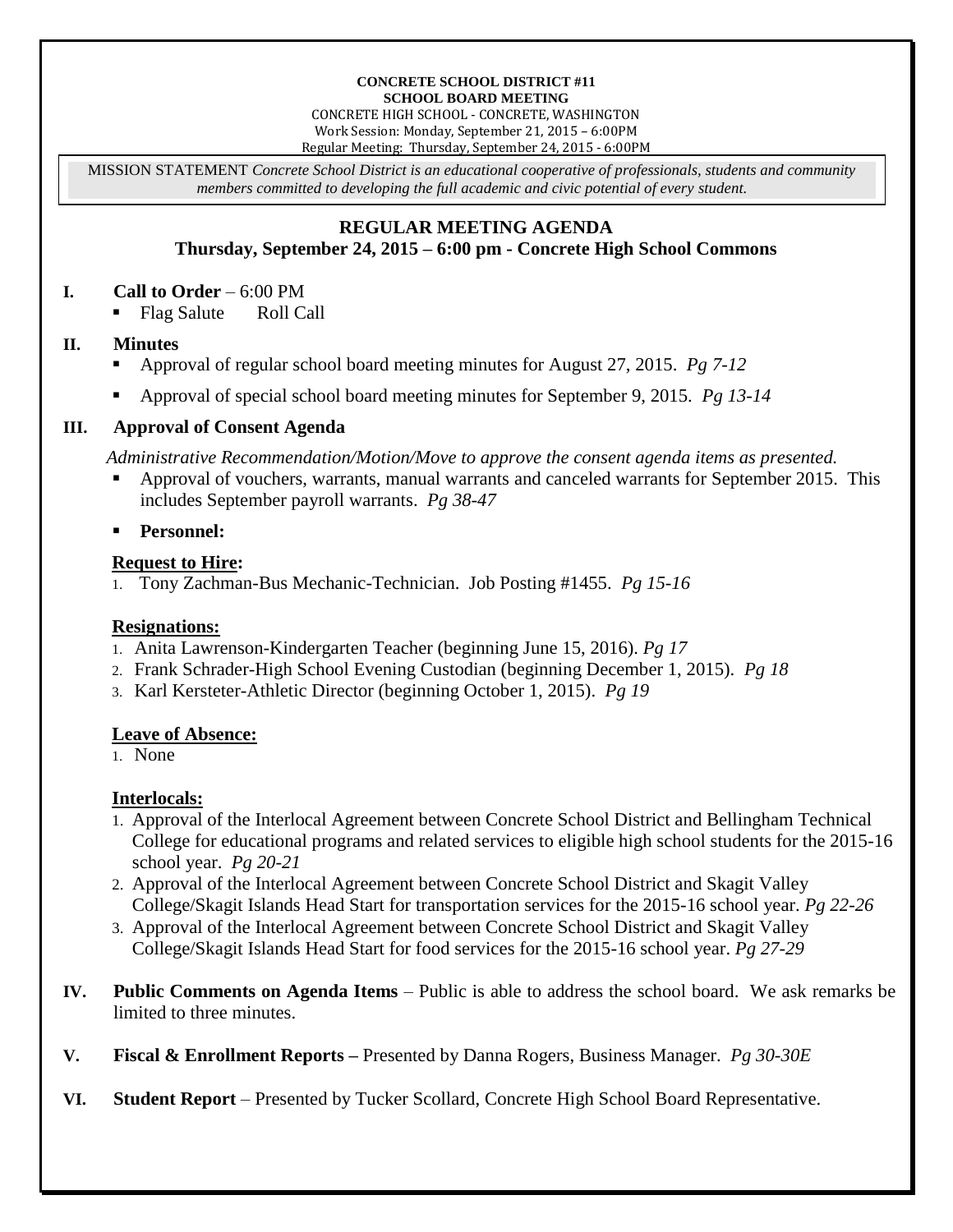#### **CONCRETE SCHOOL DISTRICT #11 SCHOOL BOARD MEETING**

CONCRETE HIGH SCHOOL - CONCRETE, WASHINGTON Work Session: Monday, September 21, 2015 – 6:00PM Regular Meeting: Thursday, September 24, 2015 - 6:00PM

MISSION STATEMENT *Concrete School District is an educational cooperative of professionals, students and community members committed to developing the full academic and civic potential of every student.*

# **REGULAR MEETING AGENDA**

# **Thursday, September 24, 2015 – 6:00 pm - Concrete High School Commons**

#### **I. Call to Order** – 6:00 PM

Flag Salute Roll Call

#### **II. Minutes**

- Approval of regular school board meeting minutes for August 27, 2015. *Pg 7-12*
- Approval of special school board meeting minutes for September 9, 2015. *Pg 13-14*

## **III. Approval of Consent Agenda**

*Administrative Recommendation/Motion/Move to approve the consent agenda items as presented.*

- Approval of vouchers, warrants, manual warrants and canceled warrants for September 2015. This includes September payroll warrants. *Pg 38-47*
- **Personnel:**

## **Request to Hire:**

1. Tony Zachman-Bus Mechanic-Technician. Job Posting #1455. *Pg 15-16*

# **Resignations:**

- 1. Anita Lawrenson-Kindergarten Teacher (beginning June 15, 2016). *Pg 17*
- 2. Frank Schrader-High School Evening Custodian (beginning December 1, 2015). *Pg 18*
- 3. Karl Kersteter-Athletic Director (beginning October 1, 2015). *Pg 19*

# **Leave of Absence:**

1. None

# **Interlocals:**

- 1. Approval of the Interlocal Agreement between Concrete School District and Bellingham Technical College for educational programs and related services to eligible high school students for the 2015-16 school year. *Pg 20-21*
- 2. Approval of the Interlocal Agreement between Concrete School District and Skagit Valley College/Skagit Islands Head Start for transportation services for the 2015-16 school year. *Pg 22-26*
- 3. Approval of the Interlocal Agreement between Concrete School District and Skagit Valley College/Skagit Islands Head Start for food services for the 2015-16 school year. *Pg 27-29*
- **IV. Public Comments on Agenda Items** Public is able to address the school board. We ask remarks be limited to three minutes.
- **V. Fiscal & Enrollment Reports –** Presented by Danna Rogers, Business Manager. *Pg 30-30E*
- **VI. Student Report** Presented by Tucker Scollard, Concrete High School Board Representative.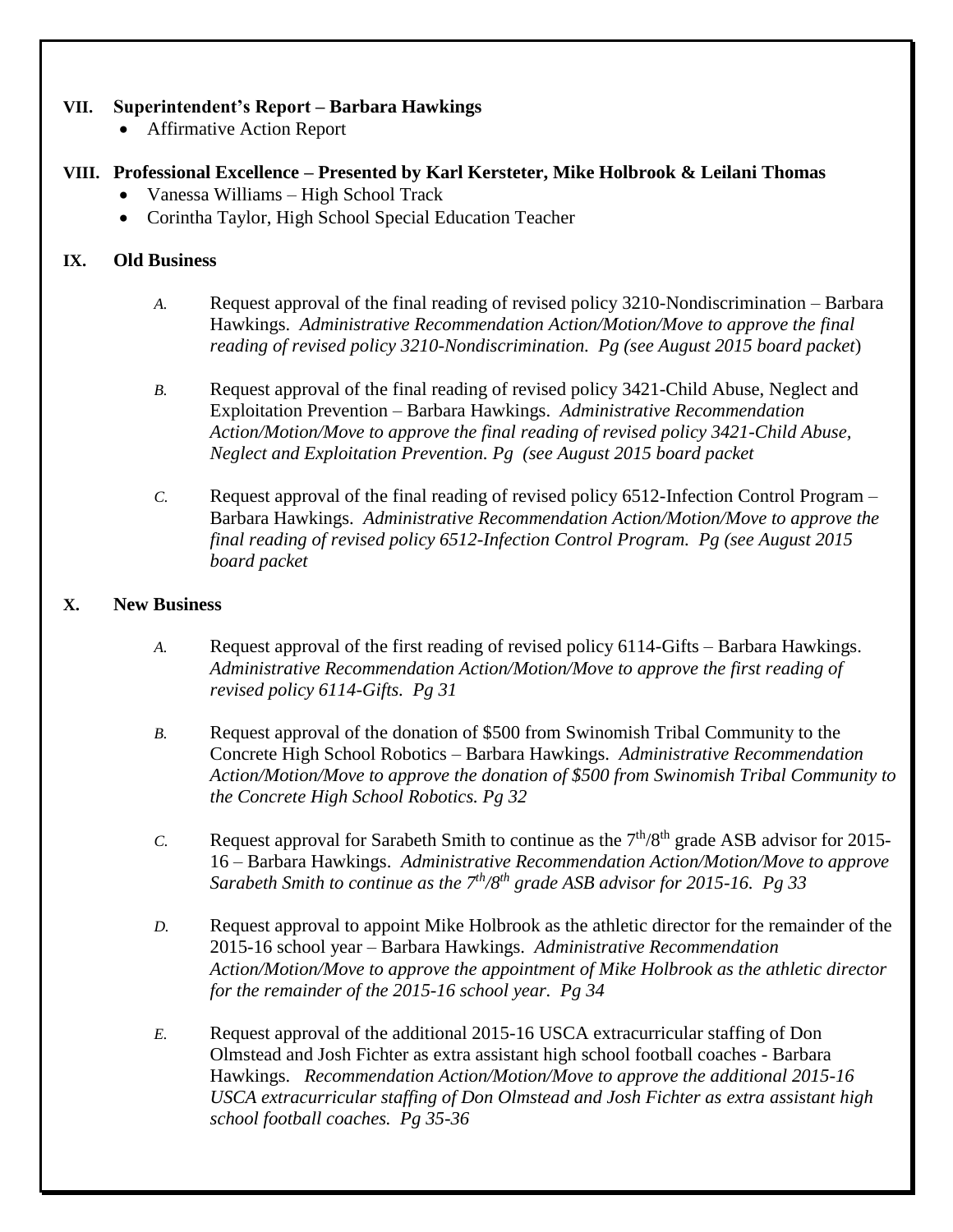#### **VII. Superintendent's Report – Barbara Hawkings**

Affirmative Action Report

## **VIII. Professional Excellence – Presented by Karl Kersteter, Mike Holbrook & Leilani Thomas**

- Vanessa Williams High School Track
- Corintha Taylor, High School Special Education Teacher

#### **IX. Old Business**

- *A.* Request approval of the final reading of revised policy 3210-Nondiscrimination Barbara Hawkings. *Administrative Recommendation Action/Motion/Move to approve the final reading of revised policy 3210-Nondiscrimination. Pg (see August 2015 board packet*)
- *B.* Request approval of the final reading of revised policy 3421-Child Abuse, Neglect and Exploitation Prevention – Barbara Hawkings. *Administrative Recommendation Action/Motion/Move to approve the final reading of revised policy 3421-Child Abuse, Neglect and Exploitation Prevention. Pg (see August 2015 board packet*
- *C.* Request approval of the final reading of revised policy 6512-Infection Control Program Barbara Hawkings. *Administrative Recommendation Action/Motion/Move to approve the final reading of revised policy 6512-Infection Control Program. Pg (see August 2015 board packet*

## **X. New Business**

- *A.* Request approval of the first reading of revised policy 6114-Gifts Barbara Hawkings. *Administrative Recommendation Action/Motion/Move to approve the first reading of revised policy 6114-Gifts. Pg 31*
- *B.* Request approval of the donation of \$500 from Swinomish Tribal Community to the Concrete High School Robotics – Barbara Hawkings. *Administrative Recommendation Action/Motion/Move to approve the donation of \$500 from Swinomish Tribal Community to the Concrete High School Robotics. Pg 32*
- *C.* Request approval for Sarabeth Smith to continue as the  $7<sup>th</sup>/8<sup>th</sup>$  grade ASB advisor for 2015-16 – Barbara Hawkings. *Administrative Recommendation Action/Motion/Move to approve Sarabeth Smith to continue as the 7th/8th grade ASB advisor for 2015-16. Pg 33*
- *D.* Request approval to appoint Mike Holbrook as the athletic director for the remainder of the 2015-16 school year – Barbara Hawkings. *Administrative Recommendation Action/Motion/Move to approve the appointment of Mike Holbrook as the athletic director for the remainder of the 2015-16 school year. Pg 34*
- *E.* Request approval of the additional 2015-16 USCA extracurricular staffing of Don Olmstead and Josh Fichter as extra assistant high school football coaches - Barbara Hawkings. *Recommendation Action/Motion/Move to approve the additional 2015-16 USCA extracurricular staffing of Don Olmstead and Josh Fichter as extra assistant high school football coaches. Pg 35-36*